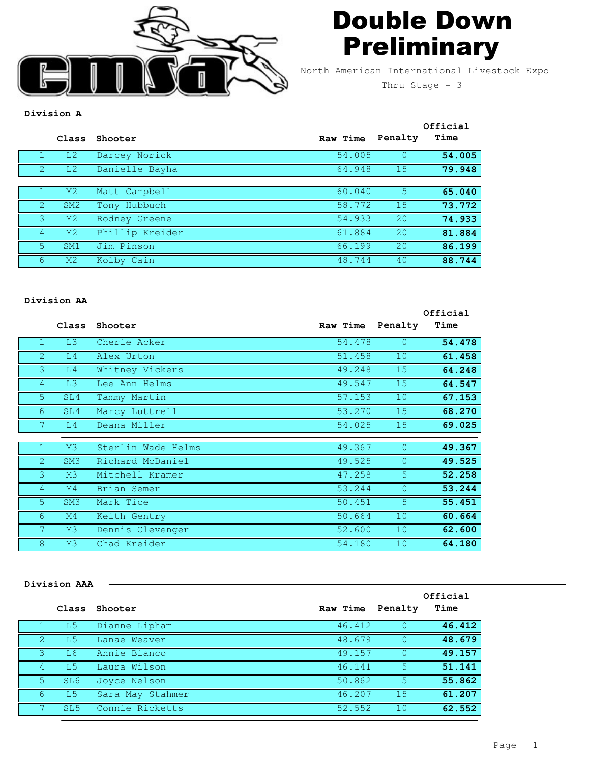

## Double Down **Preliminary**

North American International Livestock Expo

Thru Stage  $-3$ 

## **Division A**

| 54.005<br>L <sub>2</sub><br>Darcey Norick<br>Danielle Bayha<br>64.948<br>15<br>L <sub>2</sub><br>2<br>5<br>M2<br>60.040<br>Matt Campbell<br>15<br>Tony Hubbuch<br>58.772<br>$\sqrt{2}$<br>SM2<br>20<br>54.933<br>M <sub>2</sub><br>Rodney Greene<br>2.0<br>Phillip Kreider<br>61.884<br>M <sub>2</sub><br>Jim Pinson<br>20<br>5.<br>66.199<br>SM <sub>1</sub><br>48.744<br>40<br>M <sub>2</sub><br>Kolby Cain<br>6 | Class | Shooter | Raw Time | Penalty | Official<br>Time |
|--------------------------------------------------------------------------------------------------------------------------------------------------------------------------------------------------------------------------------------------------------------------------------------------------------------------------------------------------------------------------------------------------------------------|-------|---------|----------|---------|------------------|
|                                                                                                                                                                                                                                                                                                                                                                                                                    |       |         |          |         | 54.005           |
|                                                                                                                                                                                                                                                                                                                                                                                                                    |       |         |          |         | 79.948           |
|                                                                                                                                                                                                                                                                                                                                                                                                                    |       |         |          |         |                  |
|                                                                                                                                                                                                                                                                                                                                                                                                                    |       |         |          |         | 65.040           |
|                                                                                                                                                                                                                                                                                                                                                                                                                    |       |         |          |         | 73.772           |
|                                                                                                                                                                                                                                                                                                                                                                                                                    |       |         |          |         | 74.933           |
|                                                                                                                                                                                                                                                                                                                                                                                                                    |       |         |          |         | 81.884           |
|                                                                                                                                                                                                                                                                                                                                                                                                                    |       |         |          |         | 86.199           |
|                                                                                                                                                                                                                                                                                                                                                                                                                    |       |         |          |         | 88.744           |

## **Division AA**

|                |                 |                    |          |                | Official |
|----------------|-----------------|--------------------|----------|----------------|----------|
|                | Class           | Shooter            | Raw Time | Penalty        | Time     |
|                | L3              | Cherie Acker       | 54.478   | $\Omega$       | 54.478   |
| $\overline{2}$ | L4              | Alex Urton         | 51.458   | 10             | 61.458   |
| 3              | L4              | Whitney Vickers    | 49.248   | 15             | 64.248   |
| $\overline{4}$ | L3              | Lee Ann Helms      | 49.547   | 15             | 64.547   |
| $5^{\circ}$    | SL4             | Tammy Martin       | 57.153   | 10             | 67.153   |
| 6              | SL4             | Marcy Luttrell     | 53.270   | 15             | 68.270   |
|                | L4              | Deana Miller       | 54.025   | 15             | 69.025   |
|                |                 |                    |          |                |          |
|                | M3              | Sterlin Wade Helms | 49.367   | $\Omega$       | 49.367   |
| $\overline{2}$ | SM <sub>3</sub> | Richard McDaniel   | 49.525   | $\overline{0}$ | 49.525   |
| 3              | M3              | Mitchell Kramer    | 47.258   | 5 <sup>5</sup> | 52.258   |
| $\overline{4}$ | M <sub>4</sub>  | Brian Semer        | 53.244   | $\Omega$       | 53.244   |
| 5 <sup>1</sup> | SM <sub>3</sub> | Mark Tice          | 50.451   | 5 <sup>5</sup> | 55.451   |
| 6              | M <sub>4</sub>  | Keith Gentry       | 50.664   | 10             | 60.664   |
|                | M <sub>3</sub>  | Dennis Clevenger   | 52.600   | 10             | 62.600   |
| 8              | M <sub>3</sub>  | Chad Kreider       | 54.180   | 10             | 64.180   |

## **Division AAA**

|          |                 | Class Shooter    | Raw Time Penalty |     | Official<br>Time |
|----------|-----------------|------------------|------------------|-----|------------------|
|          | -L5             | Dianne Lipham    | 46.412           |     | 46.412           |
|          | - L5            | Lanae Weaver     | 48.679           |     | 48.679           |
|          | - L6            | Annie Bianco     | 49.157           |     | 49.157           |
| 4        | - T.5           | Laura Wilson     | 46.141           | 5   | 51.141           |
| -5.      | SL6             | Joyce Nelson     | 50.862           | 5   | 55.862           |
| $\sigma$ | -L5             | Sara May Stahmer | 46.207           | -15 | 61.207           |
|          | SL <sub>5</sub> | Connie Ricketts  | 52.552           | 1 O | 62.552           |